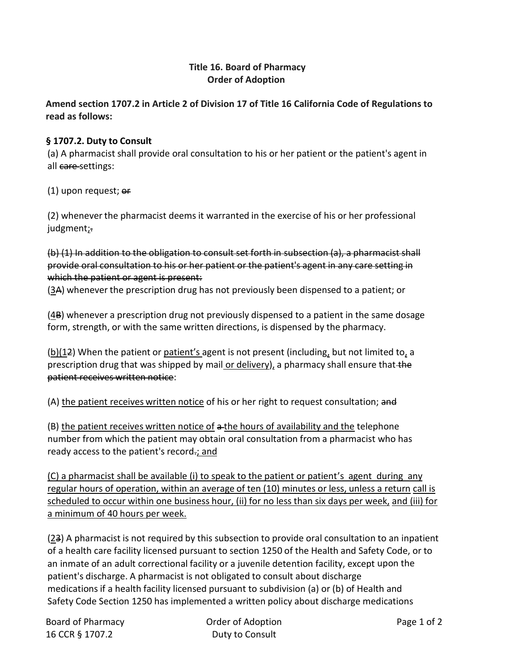## **Title 16. Board of Pharmacy Order of Adoption**

**Amend section 1707.2 in Article 2 of Division 17 of Title 16 California Code of Regulations to read as follows:**

## **§ 1707.2. Duty to Consult**

(a) A pharmacist shall provide oral consultation to his or her patient or the patient's agent in all care-settings:

 $(1)$  upon request;  $er$ 

(2) whenever the pharmacist deems it warranted in the exercise of his or her professional judgment;

(b) (1) In addition to the obligation to consult set forth in subsection (a), a pharmacist shall provide oral consultation to his or her patient or the patient's agent in any care setting in which the patient or agent is present:

(3A) whenever the prescription drug has not previously been dispensed to a patient; or

 $(4B)$  whenever a prescription drug not previously dispensed to a patient in the same dosage form, strength, or with the same written directions, is dispensed by the pharmacy.

(b)(12) When the patient or patient's agent is not present (including, but not limited to, a prescription drug that was shipped by mail or delivery), a pharmacy shall ensure that the patient receives written notice:

(A) the patient receives written notice of his or her right to request consultation; and

(B) the patient receives written notice of a the hours of availability and the telephone number from which the patient may obtain oral consultation from a pharmacist who has ready access to the patient's record-; and

(C) a pharmacist shall be available (i) to speak to the patient or patient's agent during any regular hours of operation, within an average of ten (10) minutes or less, unless a return call is scheduled to occur within one business hour, (ii) for no less than six days per week, and (iii) for a minimum of 40 hours per week.

(23) A pharmacist is not required by this subsection to provide oral consultation to an inpatient of a health care facility licensed pursuant to section 1250 of the Health and Safety Code, or to an inmate of an adult correctional facility or a juvenile detention facility, except upon the patient's discharge. A pharmacist is not obligated to consult about discharge medications if a health facility licensed pursuant to subdivision (a) or (b) of Health and Safety Code Section 1250 has implemented a written policy about discharge medications

Board of Pharmacy Order of Adoption Page 1 of 2 16 CCR § 1707.2 Duty to Consult